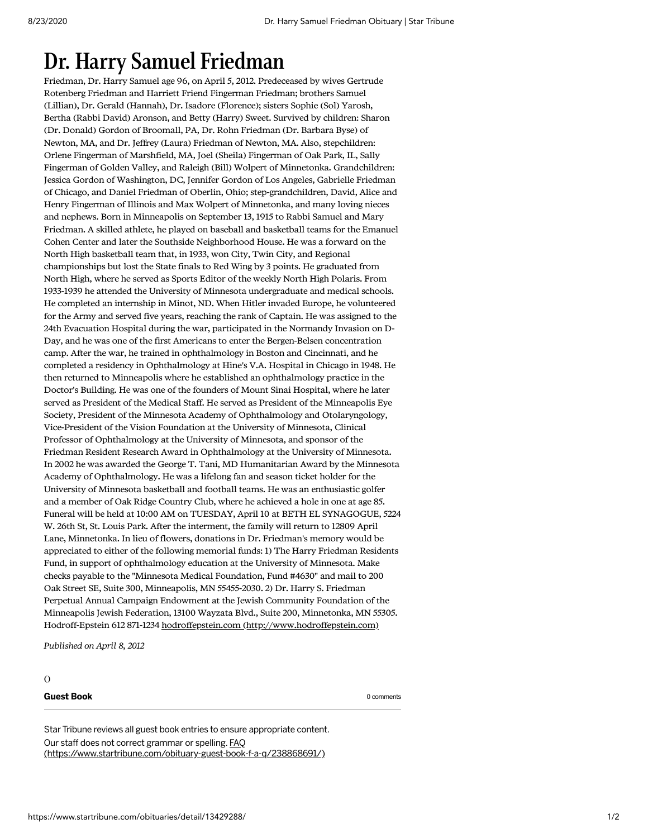## Dr. Harry Samuel Friedman

Friedman, Dr. Harry Samuel age 96, on April 5, 2012. Predeceased by wives Gertrude Rotenberg Friedman and Harriett Friend Fingerman Friedman; brothers Samuel (Lillian), Dr. Gerald (Hannah), Dr. Isadore (Florence); sisters Sophie (Sol) Yarosh, Bertha (Rabbi David) Aronson, and Betty (Harry) Sweet. Survived by children: Sharon (Dr. Donald) Gordon of Broomall, PA, Dr. Rohn Friedman (Dr. Barbara Byse) of Newton, MA, and Dr. Jeffrey (Laura) Friedman of Newton, MA. Also, stepchildren: Orlene Fingerman of Marshfield, MA, Joel (Sheila) Fingerman of Oak Park, IL, Sally Fingerman of Golden Valley, and Raleigh (Bill) Wolpert of Minnetonka. Grandchildren: Jessica Gordon of Washington, DC, Jennifer Gordon of Los Angeles, Gabrielle Friedman of Chicago, and Daniel Friedman of Oberlin, Ohio; step-grandchildren, David, Alice and Henry Fingerman of Illinois and Max Wolpert of Minnetonka, and many loving nieces and nephews. Born in Minneapolis on September 13, 1915 to Rabbi Samuel and Mary Friedman. A skilled athlete, he played on baseball and basketball teams for the Emanuel Cohen Center and later the Southside Neighborhood House. He was a forward on the North High basketball team that, in 1933, won City, Twin City, and Regional championships but lost the State finals to Red Wing by 3 points. He graduated from North High, where he served as Sports Editor of the weekly North High Polaris. From 1933-1939 he attended the University of Minnesota undergraduate and medical schools. He completed an internship in Minot, ND. When Hitler invaded Europe, he volunteered for the Army and served five years, reaching the rank of Captain. He was assigned to the 24th Evacuation Hospital during the war, participated in the Normandy Invasion on D-Day, and he was one of the first Americans to enter the Bergen-Belsen concentration camp. After the war, he trained in ophthalmology in Boston and Cincinnati, and he completed a residency in Ophthalmology at Hine's V.A. Hospital in Chicago in 1948. He then returned to Minneapolis where he established an ophthalmology practice in the Doctor's Building. He was one of the founders of Mount Sinai Hospital, where he later served as President of the Medical Staff. He served as President of the Minneapolis Eye Society, President of the Minnesota Academy of Ophthalmology and Otolaryngology, Vice-President of the Vision Foundation at the University of Minnesota, Clinical Professor of Ophthalmology at the University of Minnesota, and sponsor of the Friedman Resident Research Award in Ophthalmology at the University of Minnesota. In 2002 he was awarded the George T. Tani, MD Humanitarian Award by the Minnesota Academy of Ophthalmology. He was a lifelong fan and season ticket holder for the University of Minnesota basketball and football teams. He was an enthusiastic golfer and a member of Oak Ridge Country Club, where he achieved a hole in one at age 85. Funeral will be held at 10:00 AM on TUESDAY, April 10 at BETH EL SYNAGOGUE, 5224 W. 26th St, St. Louis Park. After the interment, the family will return to 12809 April Lane, Minnetonka. In lieu of flowers, donations in Dr. Friedman's memory would be appreciated to either of the following memorial funds: 1) The Harry Friedman Residents Fund, in support of ophthalmology education at the University of Minnesota. Make checks payable to the "Minnesota Medical Foundation, Fund #4630" and mail to 200 Oak Street SE, Suite 300, Minneapolis, MN 55455-2030. 2) Dr. Harry S. Friedman Perpetual Annual Campaign Endowment at the Jewish Community Foundation of the Minneapolis Jewish Federation, 13100 Wayzata Blvd., Suite 200, Minnetonka, MN 55305. Hodroff-Epstein 612 871-1234 hodroffepstein.com [\(http://www.hodroffepstein.com\)](http://www.hodroffepstein.com/)

Published on April 8, 2012

## ()

## **Guest Book** 0 comments **Guest Book** 0 comments

Star Tribune reviews all guest book entries to ensure appropriate content. Our staff does not correct grammar or spelling. FAQ [\(https://www.startribune.com/obituary-guest-book-f-a-q/238868691/\)](https://www.startribune.com/obituary-guest-book-f-a-q/238868691/)